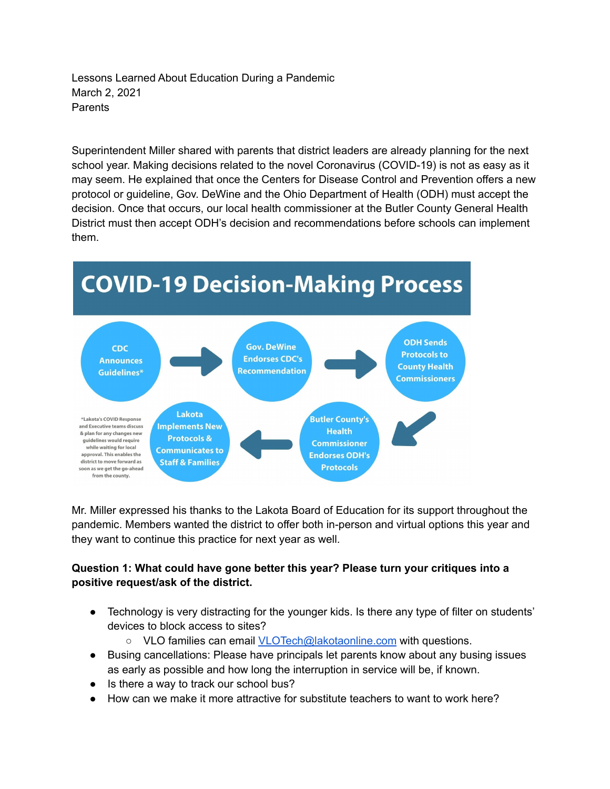Lessons Learned About Education During a Pandemic March 2, 2021 Parents

Superintendent Miller shared with parents that district leaders are already planning for the next school year. Making decisions related to the novel Coronavirus (COVID-19) is not as easy as it may seem. He explained that once the Centers for Disease Control and Prevention offers a new protocol or guideline, Gov. DeWine and the Ohio Department of Health (ODH) must accept the decision. Once that occurs, our local health commissioner at the Butler County General Health District must then accept ODH's decision and recommendations before schools can implement them.



Mr. Miller expressed his thanks to the Lakota Board of Education for its support throughout the pandemic. Members wanted the district to offer both in-person and virtual options this year and they want to continue this practice for next year as well.

## **Question 1: What could have gone better this year? Please turn your critiques into a positive request/ask of the district.**

- Technology is very distracting for the younger kids. Is there any type of filter on students' devices to block access to sites?
	- VLO families can email [VLOTech@lakotaonline.com](mailto:VLOTech@lakotaonline.com) with questions.
- Busing cancellations: Please have principals let parents know about any busing issues as early as possible and how long the interruption in service will be, if known.
- Is there a way to track our school bus?
- How can we make it more attractive for substitute teachers to want to work here?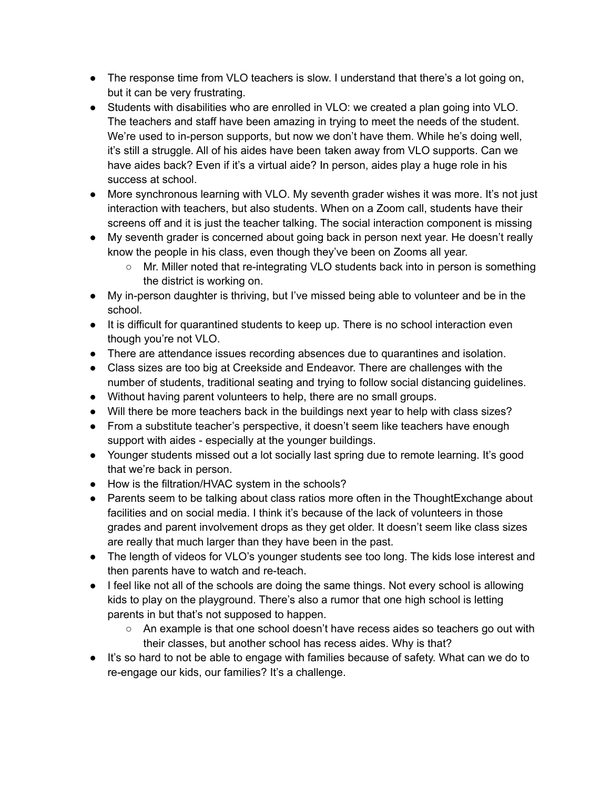- The response time from VLO teachers is slow. I understand that there's a lot going on, but it can be very frustrating.
- Students with disabilities who are enrolled in VLO: we created a plan going into VLO. The teachers and staff have been amazing in trying to meet the needs of the student. We're used to in-person supports, but now we don't have them. While he's doing well, it's still a struggle. All of his aides have been taken away from VLO supports. Can we have aides back? Even if it's a virtual aide? In person, aides play a huge role in his success at school.
- More synchronous learning with VLO. My seventh grader wishes it was more. It's not just interaction with teachers, but also students. When on a Zoom call, students have their screens off and it is just the teacher talking. The social interaction component is missing
- My seventh grader is concerned about going back in person next year. He doesn't really know the people in his class, even though they've been on Zooms all year.
	- Mr. Miller noted that re-integrating VLO students back into in person is something the district is working on.
- My in-person daughter is thriving, but I've missed being able to volunteer and be in the school.
- It is difficult for quarantined students to keep up. There is no school interaction even though you're not VLO.
- There are attendance issues recording absences due to quarantines and isolation.
- Class sizes are too big at Creekside and Endeavor. There are challenges with the number of students, traditional seating and trying to follow social distancing guidelines.
- Without having parent volunteers to help, there are no small groups.
- Will there be more teachers back in the buildings next year to help with class sizes?
- From a substitute teacher's perspective, it doesn't seem like teachers have enough support with aides - especially at the younger buildings.
- Younger students missed out a lot socially last spring due to remote learning. It's good that we're back in person.
- How is the filtration/HVAC system in the schools?
- Parents seem to be talking about class ratios more often in the ThoughtExchange about facilities and on social media. I think it's because of the lack of volunteers in those grades and parent involvement drops as they get older. It doesn't seem like class sizes are really that much larger than they have been in the past.
- The length of videos for VLO's younger students see too long. The kids lose interest and then parents have to watch and re-teach.
- I feel like not all of the schools are doing the same things. Not every school is allowing kids to play on the playground. There's also a rumor that one high school is letting parents in but that's not supposed to happen.
	- An example is that one school doesn't have recess aides so teachers go out with their classes, but another school has recess aides. Why is that?
- It's so hard to not be able to engage with families because of safety. What can we do to re-engage our kids, our families? It's a challenge.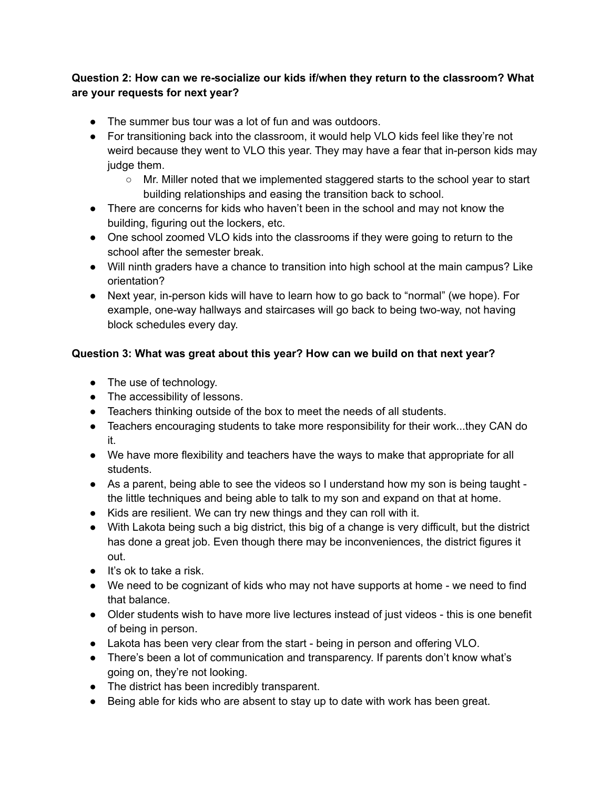## **Question 2: How can we re-socialize our kids if/when they return to the classroom? What are your requests for next year?**

- The summer bus tour was a lot of fun and was outdoors.
- For transitioning back into the classroom, it would help VLO kids feel like they're not weird because they went to VLO this year. They may have a fear that in-person kids may judge them.
	- Mr. Miller noted that we implemented staggered starts to the school year to start building relationships and easing the transition back to school.
- There are concerns for kids who haven't been in the school and may not know the building, figuring out the lockers, etc.
- One school zoomed VLO kids into the classrooms if they were going to return to the school after the semester break.
- Will ninth graders have a chance to transition into high school at the main campus? Like orientation?
- Next year, in-person kids will have to learn how to go back to "normal" (we hope). For example, one-way hallways and staircases will go back to being two-way, not having block schedules every day.

## **Question 3: What was great about this year? How can we build on that next year?**

- The use of technology.
- The accessibility of lessons.
- Teachers thinking outside of the box to meet the needs of all students.
- Teachers encouraging students to take more responsibility for their work...they CAN do it.
- We have more flexibility and teachers have the ways to make that appropriate for all students.
- As a parent, being able to see the videos so I understand how my son is being taught the little techniques and being able to talk to my son and expand on that at home.
- Kids are resilient. We can try new things and they can roll with it.
- With Lakota being such a big district, this big of a change is very difficult, but the district has done a great job. Even though there may be inconveniences, the district figures it out.
- It's ok to take a risk.
- We need to be cognizant of kids who may not have supports at home we need to find that balance.
- Older students wish to have more live lectures instead of just videos this is one benefit of being in person.
- Lakota has been very clear from the start being in person and offering VLO.
- There's been a lot of communication and transparency. If parents don't know what's going on, they're not looking.
- The district has been incredibly transparent.
- Being able for kids who are absent to stay up to date with work has been great.